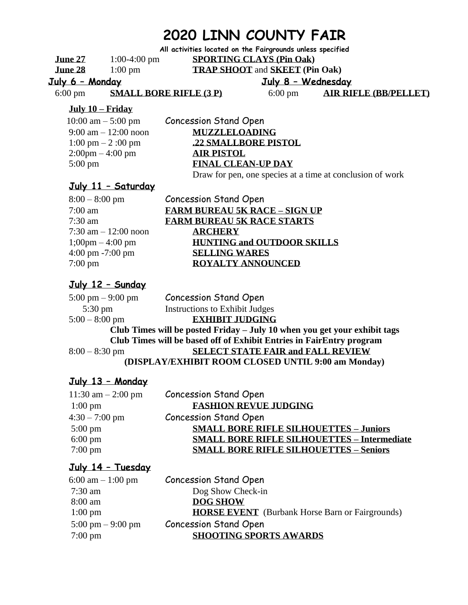# **2020 LINN COUNTY FAIR**

**All activities located on the Fairgrounds unless specified** 

**June 27** 1:00-4:00 pm **SPORTING CLAYS (Pin Oak) June 28** 1:00 pm **TRAP SHOOT** and **SKEET (Pin Oak)**

**July 6 – Monday**

**July 8 – Wednesday** 

6:00 pm **SMALL BORE RIFLE (3 P)**

6:00 pm **AIR RIFLE (BB/PELLET)**

#### **July 10 – Friday**

| 10:00 am $-$ 5:00 pm                   | <b>Concession Stand Open</b>                              |
|----------------------------------------|-----------------------------------------------------------|
| $9:00 \text{ am} - 12:00 \text{ noon}$ | <b>MUZZLELOADING</b>                                      |
| $1:00 \text{ pm} - 2:00 \text{ pm}$    | .22 SMALLBORE PISTOL                                      |
| $2:00 \text{pm} - 4:00 \text{pm}$      | <b>AIR PISTOL</b>                                         |
| $5:00 \text{ pm}$                      | <b>FINAL CLEAN-UP DAY</b>                                 |
|                                        | Draw for pen, one species at a time at conclusion of work |

## **July 11 – Saturday**

| $8:00 - 8:00$ pm                    | <b>Concession Stand Open</b>         |
|-------------------------------------|--------------------------------------|
| $7:00$ am                           | <b>FARM BUREAU 5K RACE - SIGN UP</b> |
| $7:30 \text{ am}$                   | <b>FARM BUREAU 5K RACE STARTS</b>    |
| 7:30 am $-12:00$ noon               | <b>ARCHERY</b>                       |
| $1;00 \text{pm} - 4:00 \text{pm}$   | <b>HUNTING and OUTDOOR SKILLS</b>    |
| $4:00 \text{ pm } -7:00 \text{ pm}$ | <b>SELLING WARES</b>                 |
| $7:00 \text{ pm}$                   | ROVALTY ANNOUNCED                    |

## **July 12 – Sunday**

5:00 pm – 9:00 pm Concession Stand Open 5:30 pm Instructions to Exhibit Judges 5:00 – 8:00 pm **EXHIBIT JUDGING Club Times will be posted Friday – July 10 when you get your exhibit tags Club Times will be based off of Exhibit Entries in FairEntry program** 8:00 – 8:30 pm **SELECT STATE FAIR and FALL REVIEW (DISPLAY/EXHIBIT ROOM CLOSED UNTIL 9:00 am Monday)**

## **July 13 – Monday**

| <b>Concession Stand Open</b>                       |
|----------------------------------------------------|
| <b>FASHION REVUE JUDGING</b>                       |
| <b>Concession Stand Open</b>                       |
| <b>SMALL BORE RIFLE SILHOUETTES - Juniors</b>      |
| <b>SMALL BORE RIFLE SILHOUETTES - Intermediate</b> |
| <b>SMALL BORE RIFLE SILHOUETTES - Seniors</b>      |
|                                                    |

# **July 14 – Tuesday**

| 6:00 am $-1:00$ pm  | <b>Concession Stand Open</b>                           |
|---------------------|--------------------------------------------------------|
| $7:30$ am           | Dog Show Check-in                                      |
| 8:00 am             | DOG SHOW                                               |
| $1:00 \text{ pm}$   | <b>HORSE EVENT</b> (Burbank Horse Barn or Fairgrounds) |
| 5:00 pm $-$ 9:00 pm | <b>Concession Stand Open</b>                           |
| $7:00 \text{ pm}$   | <b>SHOOTING SPORTS AWARDS</b>                          |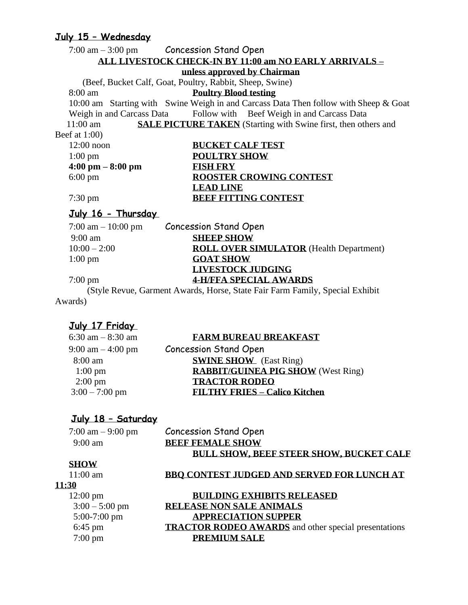# **July 15 – Wednesday**

|                    | <u>yury surveniesuuy</u>            |                                                           |                                                                                      |
|--------------------|-------------------------------------|-----------------------------------------------------------|--------------------------------------------------------------------------------------|
|                    |                                     | $7:00 \text{ am} - 3:00 \text{ pm}$ Concession Stand Open |                                                                                      |
|                    |                                     |                                                           | <u>ALL LIVESTOCK CHECK-IN BY 11:00 am NO EARLY ARRIVALS – </u>                       |
|                    |                                     | unless approved by Chairman                               |                                                                                      |
|                    |                                     | (Beef, Bucket Calf, Goat, Poultry, Rabbit, Sheep, Swine)  |                                                                                      |
| $8:00 \text{ am}$  |                                     | <b>Poultry Blood testing</b>                              |                                                                                      |
|                    |                                     |                                                           | 10:00 am Starting with Swine Weigh in and Carcass Data Then follow with Sheep & Goat |
|                    |                                     |                                                           | Weigh in and Carcass Data Follow with Beef Weigh in and Carcass Data                 |
| $11:00 \text{ am}$ |                                     |                                                           | <b>SALE PICTURE TAKEN</b> (Starting with Swine first, then others and                |
| Beef at $1:00$ )   |                                     |                                                           |                                                                                      |
| $12:00$ noon       |                                     | <b>BUCKET CALF TEST</b>                                   |                                                                                      |
| $1:00 \text{ pm}$  |                                     | <b>POULTRY SHOW</b>                                       |                                                                                      |
|                    | $4:00 \text{ pm} - 8:00 \text{ pm}$ | <b>FISH FRY</b>                                           |                                                                                      |
| $6:00 \text{ pm}$  |                                     |                                                           | <b>ROOSTER CROWING CONTEST</b>                                                       |
|                    |                                     | <b>LEAD LINE</b>                                          |                                                                                      |
| $7:30 \text{ pm}$  |                                     |                                                           | <b>BEEF FITTING CONTEST</b>                                                          |
|                    | July 16 - Thursday                  |                                                           |                                                                                      |
|                    | 7:00 am $-10:00$ pm                 | <b>Concession Stand Open</b>                              |                                                                                      |
| 0.00cm             |                                     | <b>CHEED CHOW</b>                                         |                                                                                      |

| <b>BUCKET CALF TEST</b>        |
|--------------------------------|
| <b>POULTRY SHOW</b>            |
| <b>FISH FRY</b>                |
| <b>ROOSTER CROWING CONTEST</b> |
| <b>LEAD LINE</b>               |
| <b>BEEF FITTING CONTEST</b>    |
|                                |

| 7:00 am $-10:00$ pm | <b>Concession Stand Open</b>                                                  |
|---------------------|-------------------------------------------------------------------------------|
| $9:00 \text{ am}$   | <b>SHEEP SHOW</b>                                                             |
| $10:00 - 2:00$      | <b>ROLL OVER SIMULATOR</b> (Health Department)                                |
| $1:00 \text{ pm}$   | <b>GOAT SHOW</b>                                                              |
|                     | <b>LIVESTOCK JUDGING</b>                                                      |
| $7:00 \text{ pm}$   | <b>4-H/FFA SPECIAL AWARDS</b>                                                 |
|                     | (Style Revue, Garment Awards, Horse, State Fair Farm Family, Special Exhibit) |

 (Style Revue, Garment Awards, Horse, State Fair Farm Family, Special Exhibit Awards)

# **July 17 Friday**

#### 6:30 am – 8:30 am **FARM BUREAU BREAKFAST**

| 9:00 am $-$ 4:00 pm | <b>Concession Stand Open</b>              |
|---------------------|-------------------------------------------|
| 8:00 am             | <b>SWINE SHOW</b> (East Ring)             |
| $1:00 \text{ pm}$   | <b>RABBIT/GUINEA PIG SHOW</b> (West Ring) |
| $2:00 \text{ pm}$   | <b>TRACTOR RODEO</b>                      |
| $3:00 - 7:00$ pm    | <b>FILTHY FRIES - Calico Kitchen</b>      |
|                     |                                           |

## **July 18 – Saturday**

7:00 am  $-$  9:00 pm

| <b>Concession Stand Open</b>                   |  |
|------------------------------------------------|--|
| <b>BEEF FEMALE SHOW</b>                        |  |
| <b>BULL SHOW, BEEF STEER SHOW, BUCKET CALF</b> |  |

#### **SHOW**

9:00 am

**11:30**

#### 11:00 am **BBQ CONTEST JUDGED AND SERVED FOR LUNCH AT**

12:00 pm **BUILDING EXHIBITS RELEASED** 3:00 – 5:00 pm **RELEASE NON SALE ANIMALS**  5:00-7:00 pm **APPRECIATION SUPPER** 6:45 pm **TRACTOR RODEO AWARDS** and other special presentations 7:00 pm **PREMIUM SALE**